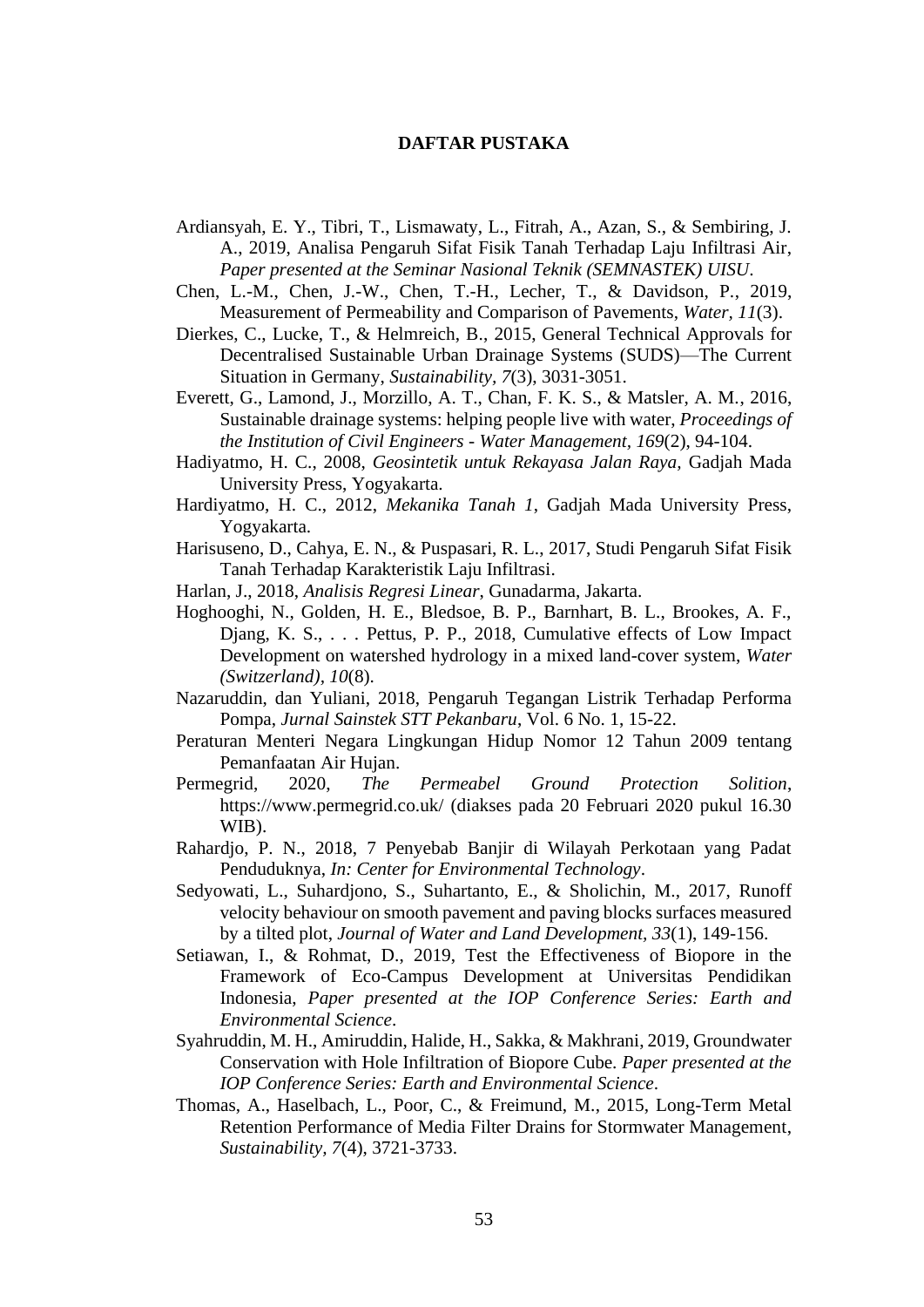## **DAFTAR PUSTAKA**

- Ardiansyah, E. Y., Tibri, T., Lismawaty, L., Fitrah, A., Azan, S., & Sembiring, J. A., 2019, Analisa Pengaruh Sifat Fisik Tanah Terhadap Laju Infiltrasi Air, *Paper presented at the Seminar Nasional Teknik (SEMNASTEK) UISU*.
- Chen, L.-M., Chen, J.-W., Chen, T.-H., Lecher, T., & Davidson, P., 2019, Measurement of Permeability and Comparison of Pavements, *Water, 11*(3).
- Dierkes, C., Lucke, T., & Helmreich, B., 2015, General Technical Approvals for Decentralised Sustainable Urban Drainage Systems (SUDS)—The Current Situation in Germany, *Sustainability, 7*(3), 3031-3051.
- Everett, G., Lamond, J., Morzillo, A. T., Chan, F. K. S., & Matsler, A. M., 2016, Sustainable drainage systems: helping people live with water, *Proceedings of the Institution of Civil Engineers - Water Management, 169*(2), 94-104.
- Hadiyatmo, H. C., 2008, *Geosintetik untuk Rekayasa Jalan Raya,* Gadjah Mada University Press, Yogyakarta.
- Hardiyatmo, H. C., 2012, *Mekanika Tanah 1*, Gadjah Mada University Press, Yogyakarta.
- Harisuseno, D., Cahya, E. N., & Puspasari, R. L., 2017, Studi Pengaruh Sifat Fisik Tanah Terhadap Karakteristik Laju Infiltrasi.
- Harlan, J., 2018, *Analisis Regresi Linear*, Gunadarma, Jakarta.
- Hoghooghi, N., Golden, H. E., Bledsoe, B. P., Barnhart, B. L., Brookes, A. F., Djang, K. S., . . . Pettus, P. P., 2018, Cumulative effects of Low Impact Development on watershed hydrology in a mixed land-cover system, *Water (Switzerland), 10*(8).
- Nazaruddin, dan Yuliani, 2018, Pengaruh Tegangan Listrik Terhadap Performa Pompa, *Jurnal Sainstek STT Pekanbaru*, Vol. 6 No. 1, 15-22.
- Peraturan Menteri Negara Lingkungan Hidup Nomor 12 Tahun 2009 tentang Pemanfaatan Air Hujan.
- Permegrid, 2020, *The Permeabel Ground Protection Solition*, https://www.permegrid.co.uk/ (diakses pada 20 Februari 2020 pukul 16.30 WIB).
- Rahardjo, P. N., 2018, 7 Penyebab Banjir di Wilayah Perkotaan yang Padat Penduduknya, *In: Center for Environmental Technology*.
- Sedyowati, L., Suhardjono, S., Suhartanto, E., & Sholichin, M., 2017, Runoff velocity behaviour on smooth pavement and paving blocks surfaces measured by a tilted plot, *Journal of Water and Land Development, 33*(1), 149-156.
- Setiawan, I., & Rohmat, D., 2019, Test the Effectiveness of Biopore in the Framework of Eco-Campus Development at Universitas Pendidikan Indonesia, *Paper presented at the IOP Conference Series: Earth and Environmental Science*.
- Syahruddin, M. H., Amiruddin, Halide, H., Sakka, & Makhrani, 2019, Groundwater Conservation with Hole Infiltration of Biopore Cube*. Paper presented at the IOP Conference Series: Earth and Environmental Science*.
- Thomas, A., Haselbach, L., Poor, C., & Freimund, M., 2015, Long-Term Metal Retention Performance of Media Filter Drains for Stormwater Management, *Sustainability, 7*(4), 3721-3733.